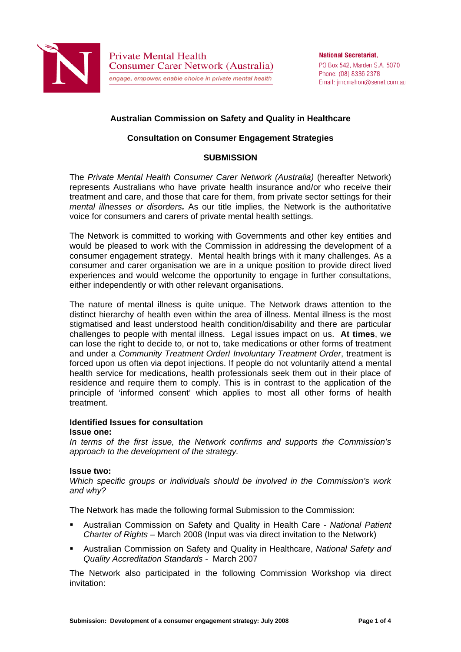

# **Australian Commission on Safety and Quality in Healthcare**

# **Consultation on Consumer Engagement Strategies**

## **SUBMISSION**

The *Private Mental Health Consumer Carer Network (Australia)* (hereafter Network) represents Australians who have private health insurance and/or who receive their treatment and care, and those that care for them, from private sector settings for their *mental illnesses or disorders.* As our title implies, the Network is the authoritative voice for consumers and carers of private mental health settings.

The Network is committed to working with Governments and other key entities and would be pleased to work with the Commission in addressing the development of a consumer engagement strategy. Mental health brings with it many challenges. As a consumer and carer organisation we are in a unique position to provide direct lived experiences and would welcome the opportunity to engage in further consultations, either independently or with other relevant organisations.

The nature of mental illness is quite unique. The Network draws attention to the distinct hierarchy of health even within the area of illness. Mental illness is the most stigmatised and least understood health condition/disability and there are particular challenges to people with mental illness. Legal issues impact on us. **At times**, we can lose the right to decide to, or not to, take medications or other forms of treatment and under a *Community Treatment Order*/ *Involuntary Treatment Order*, treatment is forced upon us often via depot injections. If people do not voluntarily attend a mental health service for medications, health professionals seek them out in their place of residence and require them to comply. This is in contrast to the application of the principle of 'informed consent' which applies to most all other forms of health treatment.

### **Identified Issues for consultation**

#### **Issue one:**

*In terms of the first issue, the Network confirms and supports the Commission's approach to the development of the strategy.* 

### **Issue two:**

*Which specific groups or individuals should be involved in the Commission's work and why?* 

The Network has made the following formal Submission to the Commission:

- Australian Commission on Safety and Quality in Health Care *National Patient Charter of Rights* – March 2008 (Input was via direct invitation to the Network)
- Australian Commission on Safety and Quality in Healthcare, *National Safety and Quality Accreditation Standards -* March 2007

The Network also participated in the following Commission Workshop via direct invitation: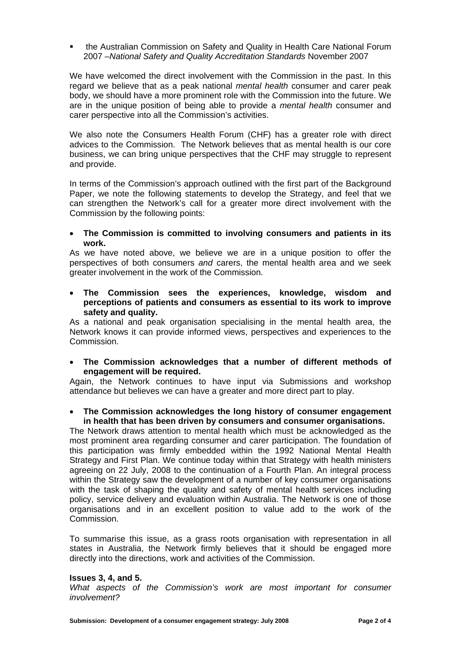**• the Australian Commission on Safety and Quality in Health Care National Forum** 2007 –*National Safety and Quality Accreditation Standards* November 2007

We have welcomed the direct involvement with the Commission in the past. In this regard we believe that as a peak national *mental health* consumer and carer peak body, we should have a more prominent role with the Commission into the future. We are in the unique position of being able to provide a *mental health* consumer and carer perspective into all the Commission's activities.

We also note the Consumers Health Forum (CHF) has a greater role with direct advices to the Commission. The Network believes that as mental health is our core business, we can bring unique perspectives that the CHF may struggle to represent and provide.

In terms of the Commission's approach outlined with the first part of the Background Paper, we note the following statements to develop the Strategy, and feel that we can strengthen the Network's call for a greater more direct involvement with the Commission by the following points:

 **The Commission is committed to involving consumers and patients in its work.** 

As we have noted above, we believe we are in a unique position to offer the perspectives of both consumers *and* carers, the mental health area and we seek greater involvement in the work of the Commission.

 **The Commission sees the experiences, knowledge, wisdom and perceptions of patients and consumers as essential to its work to improve safety and quality.** 

As a national and peak organisation specialising in the mental health area, the Network knows it can provide informed views, perspectives and experiences to the Commission.

 **The Commission acknowledges that a number of different methods of engagement will be required.** 

Again, the Network continues to have input via Submissions and workshop attendance but believes we can have a greater and more direct part to play.

 **The Commission acknowledges the long history of consumer engagement in health that has been driven by consumers and consumer organisations.** 

The Network draws attention to mental health which must be acknowledged as the most prominent area regarding consumer and carer participation. The foundation of this participation was firmly embedded within the 1992 National Mental Health Strategy and First Plan. We continue today within that Strategy with health ministers agreeing on 22 July, 2008 to the continuation of a Fourth Plan. An integral process within the Strategy saw the development of a number of key consumer organisations with the task of shaping the quality and safety of mental health services including policy, service delivery and evaluation within Australia. The Network is one of those organisations and in an excellent position to value add to the work of the Commission.

To summarise this issue, as a grass roots organisation with representation in all states in Australia, the Network firmly believes that it should be engaged more directly into the directions, work and activities of the Commission.

### **Issues 3, 4, and 5.**

*What aspects of the Commission's work are most important for consumer involvement?*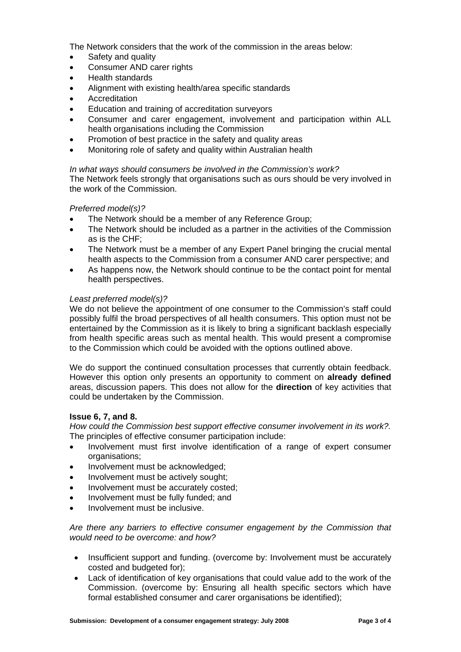The Network considers that the work of the commission in the areas below:

- Safety and quality
- Consumer AND carer rights
- Health standards
- Alignment with existing health/area specific standards
- **Accreditation**
- Education and training of accreditation surveyors
- Consumer and carer engagement, involvement and participation within ALL health organisations including the Commission
- Promotion of best practice in the safety and quality areas
- Monitoring role of safety and quality within Australian health

# *In what ways should consumers be involved in the Commission's work?*

The Network feels strongly that organisations such as ours should be very involved in the work of the Commission.

### *Preferred model(s)?*

- The Network should be a member of any Reference Group;
- The Network should be included as a partner in the activities of the Commission as is the CHF;
- The Network must be a member of any Expert Panel bringing the crucial mental health aspects to the Commission from a consumer AND carer perspective; and
- As happens now, the Network should continue to be the contact point for mental health perspectives.

### *Least preferred model(s)?*

We do not believe the appointment of one consumer to the Commission's staff could possibly fulfil the broad perspectives of all health consumers. This option must not be entertained by the Commission as it is likely to bring a significant backlash especially from health specific areas such as mental health. This would present a compromise to the Commission which could be avoided with the options outlined above.

We do support the continued consultation processes that currently obtain feedback. However this option only presents an opportunity to comment on **already defined** areas, discussion papers. This does not allow for the **direction** of key activities that could be undertaken by the Commission.

### **Issue 6, 7, and 8.**

*How could the Commission best support effective consumer involvement in its work?.*  The principles of effective consumer participation include:

- Involvement must first involve identification of a range of expert consumer organisations;
- Involvement must be acknowledged;
- Involvement must be actively sought;
- Involvement must be accurately costed;
- Involvement must be fully funded; and
- Involvement must be inclusive.

*Are there any barriers to effective consumer engagement by the Commission that would need to be overcome: and how?* 

- Insufficient support and funding. (overcome by: Involvement must be accurately costed and budgeted for);
- Lack of identification of key organisations that could value add to the work of the Commission. (overcome by: Ensuring all health specific sectors which have formal established consumer and carer organisations be identified);